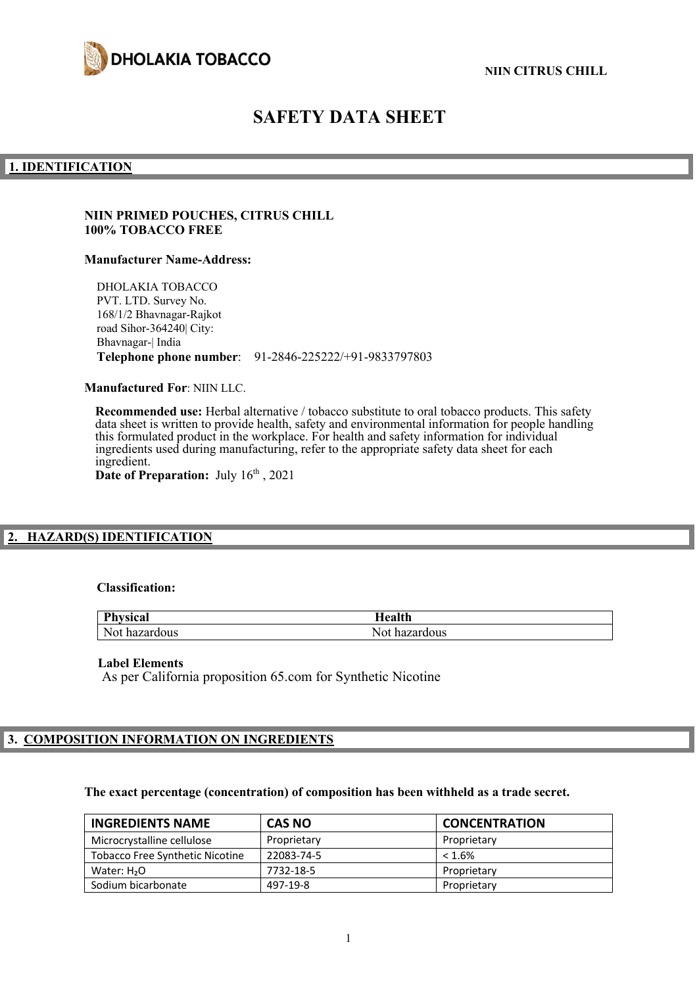

# **SAFETY DATA SHEET**

#### **1. IDENTIFICATION**

### **NIIN PRIMED POUCHES, CITRUS CHILL 100% TOBACCO FREE**

#### **Manufacturer Name-Address:**

DHOLAKIA TOBACCO PVT. LTD. Survey No. 168/1/2 Bhavnagar-Rajkot road Sihor-364240| City: Bhavnagar-| India **Telephone phone number**: 91-2846-225222/+91-9833797803

**Manufactured For**: NIIN LLC.

**Recommended use:** Herbal alternative / tobacco substitute to oral tobacco products. This safety data sheet is written to provide health, safety and environmental information for people handling this formulated product in the workplace. For health and safety information for individual ingredients used during manufacturing, refer to the appropriate safety data sheet for each ingredient. Date of Preparation: July  $16<sup>th</sup>$ , 2021

## **2. HAZARD(S) IDENTIFICATION**

#### **Classification:**

| <b>Physical</b> | Iealth        |
|-----------------|---------------|
| Not hazardous   | Not hazardous |

#### **Label Elements**

As per California proposition 65.com for Synthetic Nicotine

## **3. COMPOSITION INFORMATION ON INGREDIENTS**

#### **The exact percentage (concentration) of composition has been withheld as a trade secret.**

| <b>INGREDIENTS NAME</b>                | <b>CAS NO</b> | <b>CONCENTRATION</b> |
|----------------------------------------|---------------|----------------------|
| Microcrystalline cellulose             | Proprietary   | Proprietary          |
| <b>Tobacco Free Synthetic Nicotine</b> | 22083-74-5    | $< 1.6\%$            |
| Water: $H2O$                           | 7732-18-5     | Proprietary          |
| Sodium bicarbonate                     | 497-19-8      | Proprietary          |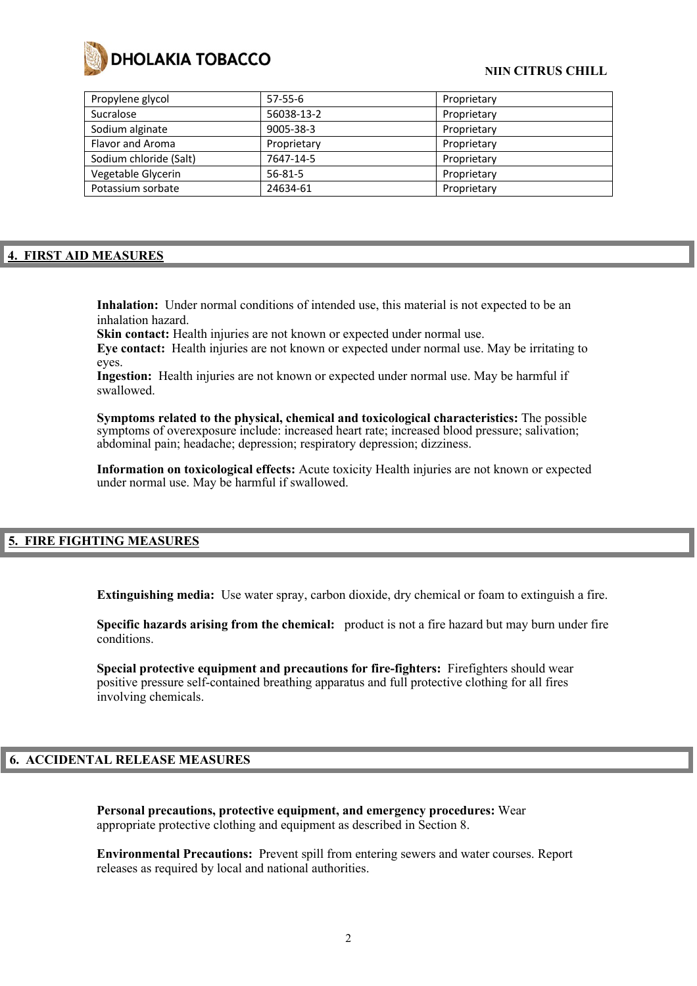

### **NIIN CITRUS CHILL**

| $57-55-6$     | Proprietary |
|---------------|-------------|
| 56038-13-2    | Proprietary |
| 9005-38-3     | Proprietary |
| Proprietary   | Proprietary |
| 7647-14-5     | Proprietary |
| $56 - 81 - 5$ | Proprietary |
| 24634-61      | Proprietary |
|               |             |

### **4. FIRST AID MEASURES**

**Inhalation:** Under normal conditions of intended use, this material is not expected to be an inhalation hazard.

Skin contact: Health injuries are not known or expected under normal use.

**Eye contact:** Health injuries are not known or expected under normal use. May be irritating to eyes.

**Ingestion:** Health injuries are not known or expected under normal use. May be harmful if swallowed.

**Symptoms related to the physical, chemical and toxicological characteristics:** The possible symptoms of overexposure include: increased heart rate; increased blood pressure; salivation; abdominal pain; headache; depression; respiratory depression; dizziness.

**Information on toxicological effects:** Acute toxicity Health injuries are not known or expected under normal use. May be harmful if swallowed.

#### **5. FIRE FIGHTING MEASURES**

**Extinguishing media:** Use water spray, carbon dioxide, dry chemical or foam to extinguish a fire.

**Specific hazards arising from the chemical:** product is not a fire hazard but may burn under fire conditions.

**Special protective equipment and precautions for fire-fighters:** Firefighters should wear positive pressure self-contained breathing apparatus and full protective clothing for all fires involving chemicals.

#### **6. ACCIDENTAL RELEASE MEASURES**

**Personal precautions, protective equipment, and emergency procedures:** Wear appropriate protective clothing and equipment as described in Section 8.

**Environmental Precautions:** Prevent spill from entering sewers and water courses. Report releases as required by local and national authorities.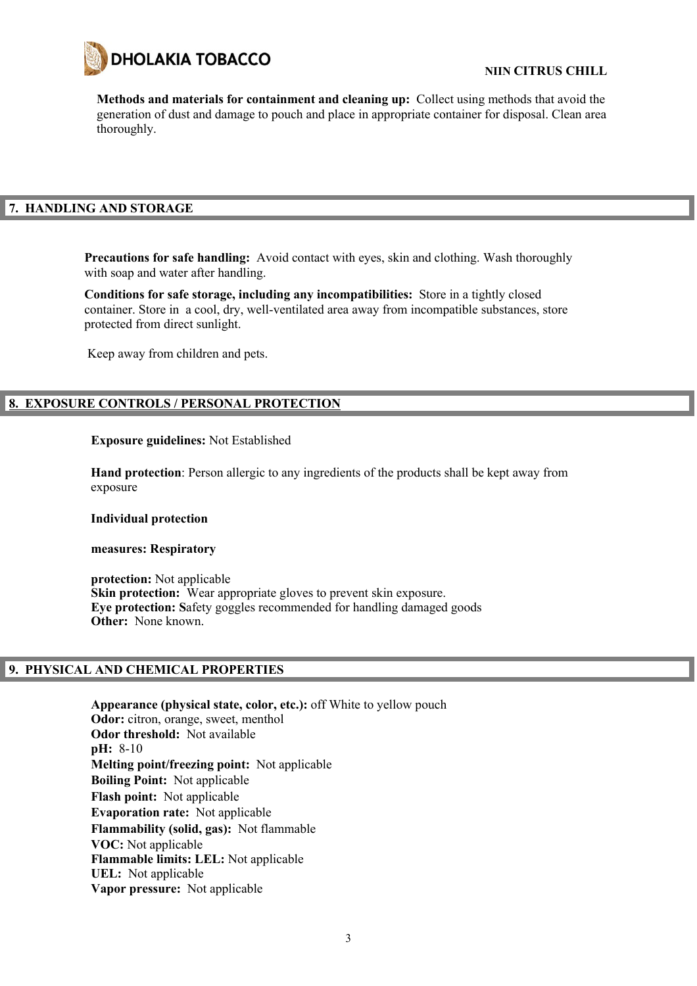

**Methods and materials for containment and cleaning up:** Collect using methods that avoid the generation of dust and damage to pouch and place in appropriate container for disposal. Clean area thoroughly.

## **7. HANDLING AND STORAGE**

**Precautions for safe handling:** Avoid contact with eyes, skin and clothing. Wash thoroughly with soap and water after handling.

**Conditions for safe storage, including any incompatibilities:** Store in a tightly closed container. Store in a cool, dry, well-ventilated area away from incompatible substances, store protected from direct sunlight.

Keep away from children and pets.

## **8. EXPOSURE CONTROLS / PERSONAL PROTECTION**

#### **Exposure guidelines:** Not Established

**Hand protection**: Person allergic to any ingredients of the products shall be kept away from exposure

#### **Individual protection**

#### **measures: Respiratory**

**protection:** Not applicable **Skin protection:** Wear appropriate gloves to prevent skin exposure. **Eye protection: S**afety goggles recommended for handling damaged goods **Other:** None known.

#### **9. PHYSICAL AND CHEMICAL PROPERTIES**

**Appearance (physical state, color, etc.):** off White to yellow pouch **Odor:** citron, orange, sweet, menthol **Odor threshold:** Not available **pH:** 8-10 **Melting point/freezing point:** Not applicable **Boiling Point:** Not applicable **Flash point:** Not applicable **Evaporation rate:** Not applicable **Flammability (solid, gas):** Not flammable **VOC:** Not applicable **Flammable limits: LEL:** Not applicable **UEL:** Not applicable **Vapor pressure:** Not applicable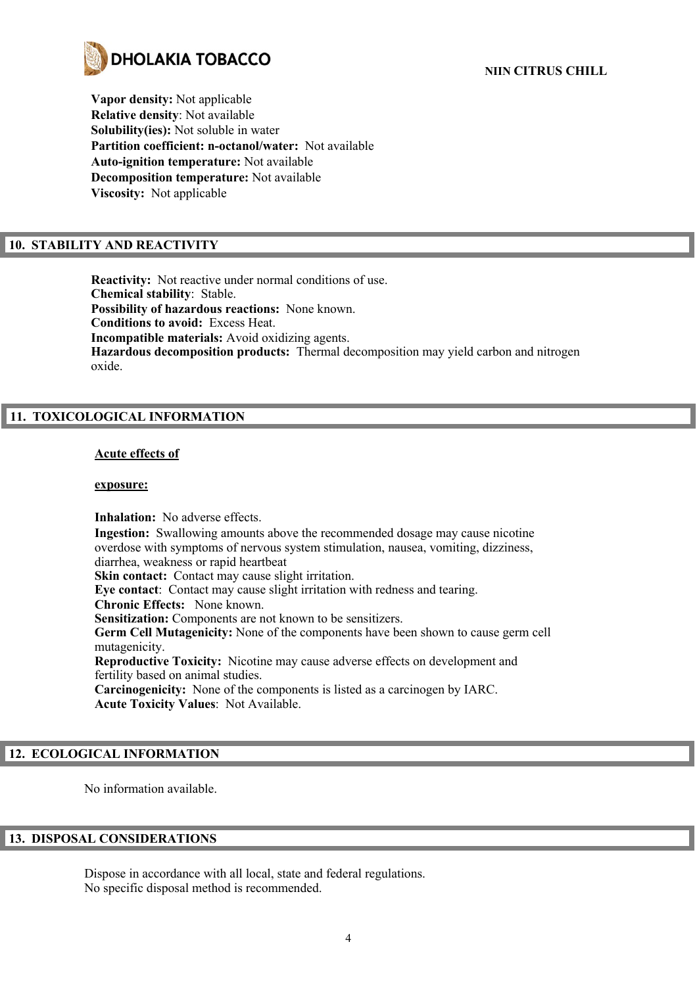

**Vapor density:** Not applicable **Relative density**: Not available **Solubility(ies):** Not soluble in water **Partition coefficient: n-octanol/water:** Not available **Auto-ignition temperature:** Not available **Decomposition temperature:** Not available **Viscosity:** Not applicable

## **10. STABILITY AND REACTIVITY**

**Reactivity:** Not reactive under normal conditions of use. **Chemical stability**: Stable. **Possibility of hazardous reactions:** None known. **Conditions to avoid:** Excess Heat. **Incompatible materials:** Avoid oxidizing agents. **Hazardous decomposition products:** Thermal decomposition may yield carbon and nitrogen oxide.

## **11. TOXICOLOGICAL INFORMATION**

#### **Acute effects of**

#### **exposure:**

**Inhalation:** No adverse effects. **Ingestion:** Swallowing amounts above the recommended dosage may cause nicotine overdose with symptoms of nervous system stimulation, nausea, vomiting, dizziness, diarrhea, weakness or rapid heartbeat **Skin contact:** Contact may cause slight irritation. **Eye contact**: Contact may cause slight irritation with redness and tearing. **Chronic Effects:** None known. **Sensitization:** Components are not known to be sensitizers. **Germ Cell Mutagenicity:** None of the components have been shown to cause germ cell mutagenicity. **Reproductive Toxicity:** Nicotine may cause adverse effects on development and fertility based on animal studies. **Carcinogenicity:** None of the components is listed as a carcinogen by IARC. **Acute Toxicity Values**: Not Available.

## **12. ECOLOGICAL INFORMATION**

No information available.

## **13. DISPOSAL CONSIDERATIONS**

Dispose in accordance with all local, state and federal regulations. No specific disposal method is recommended.